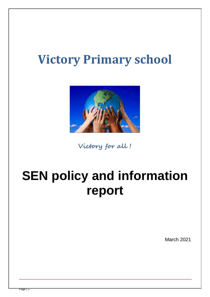# **Victory Primary school**



**Victory for all !**

# **SEN policy and information report**

March 2021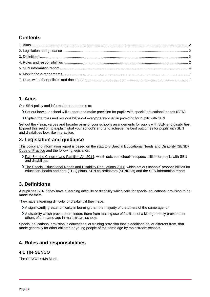# **Contents**

## <span id="page-1-0"></span>**1. Aims**

Our SEN policy and information report aims to:

- Set out how our school will support and make provision for pupils with special educational needs (SEN)
- Explain the roles and responsibilities of everyone involved in providing for pupils with SEN

Set out the vision, values and broader aims of your school's arrangements for pupils with SEN and disabilities. Expand this section to explain what your school's efforts to achieve the best outcomes for pupils with SEN and disabilities look like in practice.

## <span id="page-1-1"></span>**2. Legislation and guidance**

This policy and information report is based on the statutory [Special Educational Needs and](https://www.gov.uk/government/uploads/system/uploads/attachment_data/file/398815/SEND_Code_of_Practice_January_2015.pdf) Disability (SEND) [Code of Practice](https://www.gov.uk/government/uploads/system/uploads/attachment_data/file/398815/SEND_Code_of_Practice_January_2015.pdf) and the following legislation:

- > [Part 3 of the Children and Families Act 2014,](http://www.legislation.gov.uk/ukpga/2014/6/part/3) which sets out schools' responsibilities for pupils with SEN and disabilities
- [The Special Educational Needs and Disability Regulations 2014,](http://www.legislation.gov.uk/uksi/2014/1530/contents/made) which set out schools' responsibilities for education, health and care (EHC) plans, SEN co-ordinators (SENCOs) and the SEN information report

## <span id="page-1-2"></span>**3. Definitions**

A pupil has SEN if they have a learning difficulty or disability which calls for special educational provision to be made for them.

They have a learning difficulty or disability if they have:

- A significantly greater difficulty in learning than the majority of the others of the same age, or
- A disability which prevents or hinders them from making use of facilities of a kind generally provided for others of the same age in mainstream schools

Special educational provision is educational or training provision that is additional to, or different from, that made generally for other children or young people of the same age by mainstream schools.

## <span id="page-1-3"></span>**4. Roles and responsibilities**

### **4.1 The SENCO**

The SENCO is Ms Maria.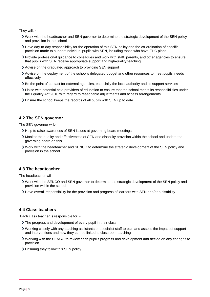They will: -

- Work with the headteacher and SEN governor to determine the strategic development of the SEN policy and provision in the school
- Have day-to-day responsibility for the operation of this SEN policy and the co-ordination of specific provision made to support individual pupils with SEN, including those who have EHC plans
- Provide professional guidance to colleagues and work with staff, parents, and other agencies to ensure that pupils with SEN receive appropriate support and high-quality teaching
- Advise on the graduated approach to providing SEN support
- Advise on the deployment of the school's delegated budget and other resources to meet pupils' needs effectively
- Be the point of contact for external agencies, especially the local authority and its support services
- Liaise with potential next providers of education to ensure that the school meets its responsibilities under the Equality Act 2010 with regard to reasonable adjustments and access arrangements
- Ensure the school keeps the records of all pupils with SEN up to date

#### **4.2 The SEN governor**

The SEN governor will:-

- Help to raise awareness of SEN issues at governing board meetings
- Monitor the quality and effectiveness of SEN and disability provision within the school and update the governing board on this
- Work with the headteacher and SENCO to determine the strategic development of the SEN policy and provision in the school

#### **4.3 The headteacher**

The headteacher will:-

- Work with the SENCO and SEN governor to determine the strategic development of the SEN policy and provision within the school
- Have overall responsibility for the provision and progress of learners with SEN and/or a disability

#### **4.4 Class teachers**

Each class teacher is responsible for: -

- > The progress and development of every pupil in their class
- Working closely with any teaching assistants or specialist staff to plan and assess the impact of support and interventions and how they can be linked to classroom teaching
- Working with the SENCO to review each pupil's progress and development and decide on any changes to provision
- <span id="page-2-0"></span>Ensuring they follow this SEN policy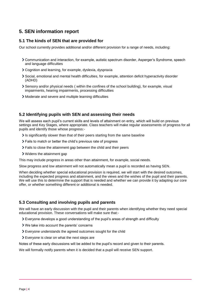## **5. SEN information report**

#### **5.1 The kinds of SEN that are provided for**

Our school currently provides additional and/or different provision for a range of needs, including:

- Communication and interaction, for example, autistic spectrum disorder, Asperger's Syndrome, speech and language difficulties
- Cognition and learning, for example, dyslexia, dyspraxia
- Social, emotional and mental health difficulties, for example, attention deficit hyperactivity disorder (ADHD)
- Sensory and/or physical needs ( within the confines of the school building), for example, visual impairments, hearing impairments, processing difficulties
- Moderate and severe and multiple learning difficulties

#### **5.2 Identifying pupils with SEN and assessing their needs**

We will assess each pupil's current skills and levels of attainment on entry, which will build on previous settings and Key Stages, where appropriate. Class teachers will make regular assessments of progress for all pupils and identify those whose progress:-

- It is significantly slower than that of their peers starting from the same baseline
- Fails to match or better the child's previous rate of progress
- Fails to close the attainment gap between the child and their peers
- Widens the attainment gap

This may include progress in areas other than attainment, for example, social needs.

Slow progress and low attainment will not automatically mean a pupil is recorded as having SEN.

When deciding whether special educational provision is required, we will start with the desired outcomes, including the expected progress and attainment, and the views and the wishes of the pupil and their parents. We will use this to determine the support that is needed and whether we can provide it by adapting our core offer, or whether something different or additional is needed.

#### **5.3 Consulting and involving pupils and parents**

We will have an early discussion with the pupil and their parents when identifying whether they need special educational provision. These conversations will make sure that:-

- Everyone develops a good understanding of the pupil's areas of strength and difficulty
- We take into account the parents' concerns
- Everyone understands the agreed outcomes sought for the child
- Everyone is clear on what the next steps are

Notes of these early discussions will be added to the pupil's record and given to their parents.

We will formally notify parents when it is decided that a pupil will receive SEN support.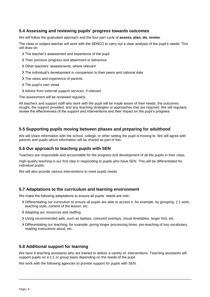#### **5.4 Assessing and reviewing pupils' progress towards outcomes**

We will follow the graduated approach and the four-part cycle of **assess, plan, do, review**.

The class or subject teacher will work with the SENCO to carry out a clear analysis of the pupil's needs. This will draw on:

- The teacher's assessment and experience of the pupil
- Their previous progress and attainment or behaviour
- Other teachers' assessments, where relevant
- The individual's development in comparison to their peers and national data
- > The views and experience of parents
- > The pupil's own views
- Advice from external support services, if relevant

The assessment will be reviewed regularly.

All teachers and support staff who work with the pupil will be made aware of their needs, the outcomes sought, the support provided, and any teaching strategies or approaches that are required. We will regularly review the effectiveness of the support and interventions and their impact on the pupil's progress.

#### **5.5 Supporting pupils moving between phases and preparing for adulthood**

We will share information with the school, college, or other setting the pupil is moving to. We will agree with parents and pupils which information will be shared as part of this.

#### **5.6 Our approach to teaching pupils with SEN**

Teachers are responsible and accountable for the progress and development of all the pupils in their class.

High-quality teaching is our first step in responding to pupils who have SEN. This will be differentiated for individual pupils.

We will also provide various interventions to meet pupils needs.

#### **5.7 Adaptations to the curriculum and learning environment**

We make the following adaptations to ensure all pupils' needs are met:-

- Differentiating our curriculum to ensure all pupils are able to access it, for example, by grouping, 1:1 work, teaching style, content of the lesson, etc.
- Adapting our resources and staffing
- Using recommended aids, such as laptops, coloured overlays, visual timetables, larger font, etc.
- Differentiating our teaching, for example, giving longer processing times, pre-teaching of key vocabulary, reading instructions aloud, etc.

#### **5.8 Additional support for learning**

We have 6 teaching assistants who are trained to deliver a variety of interventions. Teaching assistants will support pupils on a 1:1 or group basis depending on the needs of the pupil.

We work with the following agencies to provide support for pupils with SEN: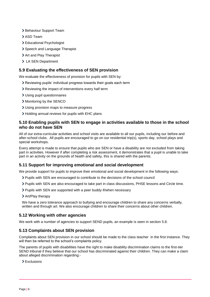- > Behaviour Support Team
- > ASD Team
- > Educational Psychologist
- > Speech and Language Therapist
- > Art and Play Therapist
- > LA SEN Department

#### **5.9 Evaluating the effectiveness of SEN provision**

We evaluate the effectiveness of provision for pupils with SEN by:

- Reviewing pupils' individual progress towards their goals each term
- Reviewing the impact of interventions every half term
- Using pupil questionnaires
- > Monitoring by the SENCO
- Using provision maps to measure progress
- Holding annual reviews for pupils with EHC plans

#### **5.10 Enabling pupils with SEN to engage in activities available to those in the school who do not have SEN**

All of our extra-curricular activities and school visits are available to all our pupils, including our before-and after-school clubs. All pupils are encouraged to go on our residential trip(s), sports day, school plays and special workshops.

Every attempt is made to ensure that pupils who are SEN or have a disability are not excluded from taking part in activities. However if after completing a risk assessment, it demonstrates that a pupil is unable to take part in an activity on the grounds of health and safety, this is shared with the parents.

#### **5.11 Support for improving emotional and social development**

We provide support for pupils to improve their emotional and social development in the following ways:

- Pupils with SEN are encouraged to contribute to the decisions of the school council
- Pupils with SEN are also encouraged to take part in class discussions, PHSE lessons and Circle time.
- Pupils with SEN are supported with a peer buddy if/when necessary
- Art/Play therapy

We have a zero tolerance approach to bullying and encourage children to share any concerns verbally, written and through art. We also encourage children to share their concerns about other children.

#### **5.12 Working with other agencies**

We work with a number of agencies to support SEND pupils, an example is seen in section 5.8.

#### **5.13 Complaints about SEN provision**

Complaints about SEN provision in our school should be made to the class teacher in the first instance. They will then be referred to the school's complaints policy.

The parents of pupils with disabilities have the right to make disability discrimination claims to the first-tier SEND tribunal if they believe that our school has discriminated against their children. They can make a claim about alleged discrimination regarding:-

> Exclusions